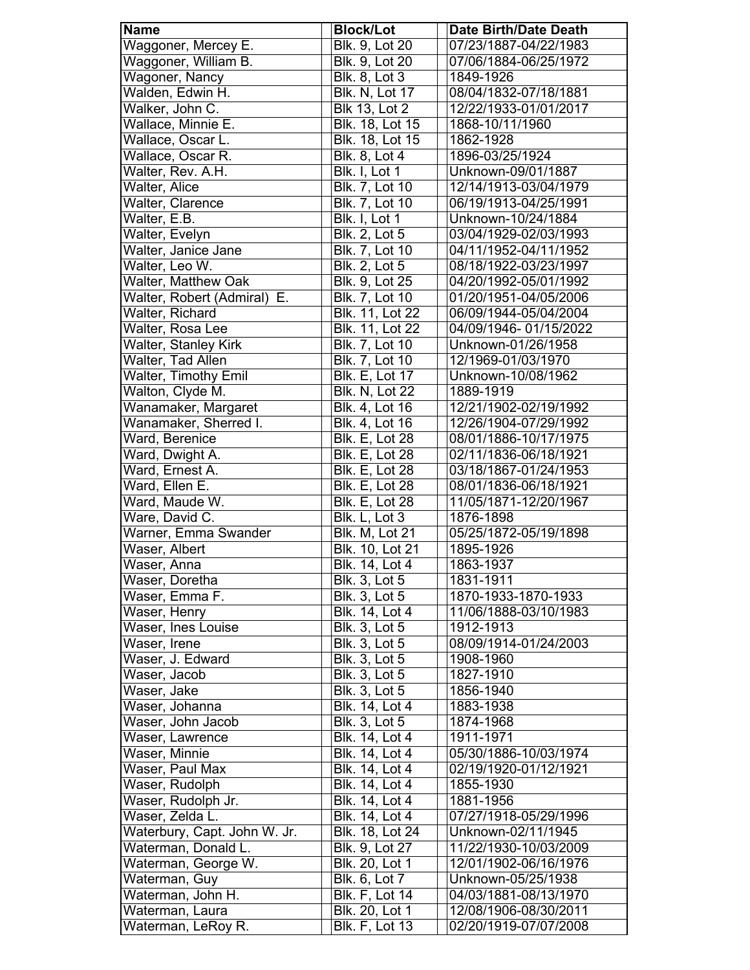| Blk. 9, Lot 20<br>Waggoner, Mercey E.<br>07/23/1887-04/22/1983<br>Waggoner, William B.<br>Blk. 9, Lot 20<br>07/06/1884-06/25/1972<br>Wagoner, Nancy<br><b>Blk. 8, Lot 3</b><br>1849-1926<br>Walden, Edwin H.<br>08/04/1832-07/18/1881<br><b>Blk. N, Lot 17</b><br>Walker, John C.<br>12/22/1933-01/01/2017<br><b>Blk 13, Lot 2</b><br>Wallace, Minnie E.<br>Blk. 18, Lot 15<br>1868-10/11/1960<br>Wallace, Oscar L.<br>Blk. 18, Lot 15<br>1862-1928<br>Wallace, Oscar R.<br><b>Blk. 8, Lot 4</b><br>1896-03/25/1924<br>Blk. I, Lot 1<br>Walter, Rev. A.H.<br>Unknown-09/01/1887<br>Walter, Alice<br><b>Blk. 7, Lot 10</b><br>12/14/1913-03/04/1979<br>Walter, Clarence<br><b>Blk. 7, Lot 10</b><br>06/19/1913-04/25/1991<br>Walter, E.B.<br>Blk. I, Lot 1<br>Unknown-10/24/1884<br>Walter, Evelyn<br><b>Blk. 2, Lot 5</b><br>03/04/1929-02/03/1993<br>Walter, Janice Jane<br>Blk. 7, Lot 10<br>04/11/1952-04/11/1952<br>Walter, Leo W.<br>Blk. 2, Lot 5<br>08/18/1922-03/23/1997<br>Walter, Matthew Oak<br><b>Blk. 9, Lot 25</b><br>04/20/1992-05/01/1992<br>Walter, Robert (Admiral)<br>E.<br>Blk. 7, Lot 10<br>01/20/1951-04/05/2006<br>Walter, Richard<br>Blk. 11, Lot 22<br>06/09/1944-05/04/2004<br>Walter, Rosa Lee<br>Blk. 11, Lot 22<br>04/09/1946-01/15/2022<br>Walter, Stanley Kirk<br>Blk. 7, Lot 10<br>Unknown-01/26/1958<br>Walter, Tad Allen<br>12/1969-01/03/1970<br>Blk. 7, Lot 10<br><b>Walter, Timothy Emil</b><br><b>Blk. E, Lot 17</b><br>Unknown-10/08/1962<br>Walton, Clyde M.<br><b>Blk. N, Lot 22</b><br>1889-1919<br>Wanamaker, Margaret<br><b>Blk. 4, Lot 16</b><br>12/21/1902-02/19/1992<br>Wanamaker, Sherred I.<br>Blk. 4, Lot 16<br>12/26/1904-07/29/1992<br>Ward, Berenice<br><b>Blk. E, Lot 28</b><br>08/01/1886-10/17/1975<br>Ward, Dwight A.<br><b>Blk. E, Lot 28</b><br>02/11/1836-06/18/1921<br>Ward, Ernest A.<br><b>Blk. E, Lot 28</b><br>03/18/1867-01/24/1953<br>Ward, Ellen E.<br><b>Blk. E, Lot 28</b><br>08/01/1836-06/18/1921<br>Ward, Maude W.<br><b>Blk.</b> E, Lot 28<br>11/05/1871-12/20/1967<br>Ware, David C.<br>Blk. L, Lot 3<br>1876-1898<br>Warner, Emma Swander<br>Blk. M, Lot 21<br>05/25/1872-05/19/1898<br>Waser, Albert<br><b>Blk.</b> 10, Lot 21<br>1895-1926<br>Waser, Anna<br>Blk. 14, Lot 4<br>1863-1937<br>Waser, Doretha<br><b>Blk. 3, Lot 5</b><br>1831-1911<br>Waser, Emma F.<br><b>Blk. 3, Lot 5</b><br>1870-1933-1870-1933<br><b>Blk. 14, Lot 4</b><br>11/06/1888-03/10/1983<br>Waser, Henry<br>Waser, Ines Louise<br><b>Blk. 3, Lot 5</b><br>1912-1913<br>08/09/1914-01/24/2003<br><b>Blk. 3, Lot 5</b><br>Waser, Irene<br>Waser, J. Edward<br><b>Blk. 3, Lot 5</b><br>1908-1960<br>Waser, Jacob<br>1827-1910<br><b>Blk. 3, Lot 5</b><br>Waser, Jake<br><b>Blk. 3, Lot 5</b><br>1856-1940<br>Waser, Johanna<br>Blk. 14, Lot 4<br>1883-1938<br><b>Blk. 3, Lot 5</b><br>Waser, John Jacob<br>1874-1968<br>Waser, Lawrence<br>Blk. 14, Lot 4<br>1911-1971<br>Waser, Minnie<br>Blk. 14, Lot 4<br>05/30/1886-10/03/1974<br>Waser, Paul Max<br>Blk. 14, Lot 4<br>02/19/1920-01/12/1921<br>Waser, Rudolph<br>Blk. 14, Lot 4<br>1855-1930 | <b>Name</b> | <b>Block/Lot</b> | <b>Date Birth/Date Death</b> |
|--------------------------------------------------------------------------------------------------------------------------------------------------------------------------------------------------------------------------------------------------------------------------------------------------------------------------------------------------------------------------------------------------------------------------------------------------------------------------------------------------------------------------------------------------------------------------------------------------------------------------------------------------------------------------------------------------------------------------------------------------------------------------------------------------------------------------------------------------------------------------------------------------------------------------------------------------------------------------------------------------------------------------------------------------------------------------------------------------------------------------------------------------------------------------------------------------------------------------------------------------------------------------------------------------------------------------------------------------------------------------------------------------------------------------------------------------------------------------------------------------------------------------------------------------------------------------------------------------------------------------------------------------------------------------------------------------------------------------------------------------------------------------------------------------------------------------------------------------------------------------------------------------------------------------------------------------------------------------------------------------------------------------------------------------------------------------------------------------------------------------------------------------------------------------------------------------------------------------------------------------------------------------------------------------------------------------------------------------------------------------------------------------------------------------------------------------------------------------------------------------------------------------------------------------------------------------------------------------------------------------------------------------------------------------------------------------------------------------------------------------------------------------------------------------------------------------------------------------------------------------------------------------------------------------------------------------------------------------------------------------------------------------------------------------------------------------------------------------------|-------------|------------------|------------------------------|
|                                                                                                                                                                                                                                                                                                                                                                                                                                                                                                                                                                                                                                                                                                                                                                                                                                                                                                                                                                                                                                                                                                                                                                                                                                                                                                                                                                                                                                                                                                                                                                                                                                                                                                                                                                                                                                                                                                                                                                                                                                                                                                                                                                                                                                                                                                                                                                                                                                                                                                                                                                                                                                                                                                                                                                                                                                                                                                                                                                                                                                                                                                        |             |                  |                              |
|                                                                                                                                                                                                                                                                                                                                                                                                                                                                                                                                                                                                                                                                                                                                                                                                                                                                                                                                                                                                                                                                                                                                                                                                                                                                                                                                                                                                                                                                                                                                                                                                                                                                                                                                                                                                                                                                                                                                                                                                                                                                                                                                                                                                                                                                                                                                                                                                                                                                                                                                                                                                                                                                                                                                                                                                                                                                                                                                                                                                                                                                                                        |             |                  |                              |
|                                                                                                                                                                                                                                                                                                                                                                                                                                                                                                                                                                                                                                                                                                                                                                                                                                                                                                                                                                                                                                                                                                                                                                                                                                                                                                                                                                                                                                                                                                                                                                                                                                                                                                                                                                                                                                                                                                                                                                                                                                                                                                                                                                                                                                                                                                                                                                                                                                                                                                                                                                                                                                                                                                                                                                                                                                                                                                                                                                                                                                                                                                        |             |                  |                              |
|                                                                                                                                                                                                                                                                                                                                                                                                                                                                                                                                                                                                                                                                                                                                                                                                                                                                                                                                                                                                                                                                                                                                                                                                                                                                                                                                                                                                                                                                                                                                                                                                                                                                                                                                                                                                                                                                                                                                                                                                                                                                                                                                                                                                                                                                                                                                                                                                                                                                                                                                                                                                                                                                                                                                                                                                                                                                                                                                                                                                                                                                                                        |             |                  |                              |
|                                                                                                                                                                                                                                                                                                                                                                                                                                                                                                                                                                                                                                                                                                                                                                                                                                                                                                                                                                                                                                                                                                                                                                                                                                                                                                                                                                                                                                                                                                                                                                                                                                                                                                                                                                                                                                                                                                                                                                                                                                                                                                                                                                                                                                                                                                                                                                                                                                                                                                                                                                                                                                                                                                                                                                                                                                                                                                                                                                                                                                                                                                        |             |                  |                              |
|                                                                                                                                                                                                                                                                                                                                                                                                                                                                                                                                                                                                                                                                                                                                                                                                                                                                                                                                                                                                                                                                                                                                                                                                                                                                                                                                                                                                                                                                                                                                                                                                                                                                                                                                                                                                                                                                                                                                                                                                                                                                                                                                                                                                                                                                                                                                                                                                                                                                                                                                                                                                                                                                                                                                                                                                                                                                                                                                                                                                                                                                                                        |             |                  |                              |
|                                                                                                                                                                                                                                                                                                                                                                                                                                                                                                                                                                                                                                                                                                                                                                                                                                                                                                                                                                                                                                                                                                                                                                                                                                                                                                                                                                                                                                                                                                                                                                                                                                                                                                                                                                                                                                                                                                                                                                                                                                                                                                                                                                                                                                                                                                                                                                                                                                                                                                                                                                                                                                                                                                                                                                                                                                                                                                                                                                                                                                                                                                        |             |                  |                              |
|                                                                                                                                                                                                                                                                                                                                                                                                                                                                                                                                                                                                                                                                                                                                                                                                                                                                                                                                                                                                                                                                                                                                                                                                                                                                                                                                                                                                                                                                                                                                                                                                                                                                                                                                                                                                                                                                                                                                                                                                                                                                                                                                                                                                                                                                                                                                                                                                                                                                                                                                                                                                                                                                                                                                                                                                                                                                                                                                                                                                                                                                                                        |             |                  |                              |
|                                                                                                                                                                                                                                                                                                                                                                                                                                                                                                                                                                                                                                                                                                                                                                                                                                                                                                                                                                                                                                                                                                                                                                                                                                                                                                                                                                                                                                                                                                                                                                                                                                                                                                                                                                                                                                                                                                                                                                                                                                                                                                                                                                                                                                                                                                                                                                                                                                                                                                                                                                                                                                                                                                                                                                                                                                                                                                                                                                                                                                                                                                        |             |                  |                              |
|                                                                                                                                                                                                                                                                                                                                                                                                                                                                                                                                                                                                                                                                                                                                                                                                                                                                                                                                                                                                                                                                                                                                                                                                                                                                                                                                                                                                                                                                                                                                                                                                                                                                                                                                                                                                                                                                                                                                                                                                                                                                                                                                                                                                                                                                                                                                                                                                                                                                                                                                                                                                                                                                                                                                                                                                                                                                                                                                                                                                                                                                                                        |             |                  |                              |
|                                                                                                                                                                                                                                                                                                                                                                                                                                                                                                                                                                                                                                                                                                                                                                                                                                                                                                                                                                                                                                                                                                                                                                                                                                                                                                                                                                                                                                                                                                                                                                                                                                                                                                                                                                                                                                                                                                                                                                                                                                                                                                                                                                                                                                                                                                                                                                                                                                                                                                                                                                                                                                                                                                                                                                                                                                                                                                                                                                                                                                                                                                        |             |                  |                              |
|                                                                                                                                                                                                                                                                                                                                                                                                                                                                                                                                                                                                                                                                                                                                                                                                                                                                                                                                                                                                                                                                                                                                                                                                                                                                                                                                                                                                                                                                                                                                                                                                                                                                                                                                                                                                                                                                                                                                                                                                                                                                                                                                                                                                                                                                                                                                                                                                                                                                                                                                                                                                                                                                                                                                                                                                                                                                                                                                                                                                                                                                                                        |             |                  |                              |
|                                                                                                                                                                                                                                                                                                                                                                                                                                                                                                                                                                                                                                                                                                                                                                                                                                                                                                                                                                                                                                                                                                                                                                                                                                                                                                                                                                                                                                                                                                                                                                                                                                                                                                                                                                                                                                                                                                                                                                                                                                                                                                                                                                                                                                                                                                                                                                                                                                                                                                                                                                                                                                                                                                                                                                                                                                                                                                                                                                                                                                                                                                        |             |                  |                              |
|                                                                                                                                                                                                                                                                                                                                                                                                                                                                                                                                                                                                                                                                                                                                                                                                                                                                                                                                                                                                                                                                                                                                                                                                                                                                                                                                                                                                                                                                                                                                                                                                                                                                                                                                                                                                                                                                                                                                                                                                                                                                                                                                                                                                                                                                                                                                                                                                                                                                                                                                                                                                                                                                                                                                                                                                                                                                                                                                                                                                                                                                                                        |             |                  |                              |
|                                                                                                                                                                                                                                                                                                                                                                                                                                                                                                                                                                                                                                                                                                                                                                                                                                                                                                                                                                                                                                                                                                                                                                                                                                                                                                                                                                                                                                                                                                                                                                                                                                                                                                                                                                                                                                                                                                                                                                                                                                                                                                                                                                                                                                                                                                                                                                                                                                                                                                                                                                                                                                                                                                                                                                                                                                                                                                                                                                                                                                                                                                        |             |                  |                              |
|                                                                                                                                                                                                                                                                                                                                                                                                                                                                                                                                                                                                                                                                                                                                                                                                                                                                                                                                                                                                                                                                                                                                                                                                                                                                                                                                                                                                                                                                                                                                                                                                                                                                                                                                                                                                                                                                                                                                                                                                                                                                                                                                                                                                                                                                                                                                                                                                                                                                                                                                                                                                                                                                                                                                                                                                                                                                                                                                                                                                                                                                                                        |             |                  |                              |
|                                                                                                                                                                                                                                                                                                                                                                                                                                                                                                                                                                                                                                                                                                                                                                                                                                                                                                                                                                                                                                                                                                                                                                                                                                                                                                                                                                                                                                                                                                                                                                                                                                                                                                                                                                                                                                                                                                                                                                                                                                                                                                                                                                                                                                                                                                                                                                                                                                                                                                                                                                                                                                                                                                                                                                                                                                                                                                                                                                                                                                                                                                        |             |                  |                              |
|                                                                                                                                                                                                                                                                                                                                                                                                                                                                                                                                                                                                                                                                                                                                                                                                                                                                                                                                                                                                                                                                                                                                                                                                                                                                                                                                                                                                                                                                                                                                                                                                                                                                                                                                                                                                                                                                                                                                                                                                                                                                                                                                                                                                                                                                                                                                                                                                                                                                                                                                                                                                                                                                                                                                                                                                                                                                                                                                                                                                                                                                                                        |             |                  |                              |
|                                                                                                                                                                                                                                                                                                                                                                                                                                                                                                                                                                                                                                                                                                                                                                                                                                                                                                                                                                                                                                                                                                                                                                                                                                                                                                                                                                                                                                                                                                                                                                                                                                                                                                                                                                                                                                                                                                                                                                                                                                                                                                                                                                                                                                                                                                                                                                                                                                                                                                                                                                                                                                                                                                                                                                                                                                                                                                                                                                                                                                                                                                        |             |                  |                              |
|                                                                                                                                                                                                                                                                                                                                                                                                                                                                                                                                                                                                                                                                                                                                                                                                                                                                                                                                                                                                                                                                                                                                                                                                                                                                                                                                                                                                                                                                                                                                                                                                                                                                                                                                                                                                                                                                                                                                                                                                                                                                                                                                                                                                                                                                                                                                                                                                                                                                                                                                                                                                                                                                                                                                                                                                                                                                                                                                                                                                                                                                                                        |             |                  |                              |
|                                                                                                                                                                                                                                                                                                                                                                                                                                                                                                                                                                                                                                                                                                                                                                                                                                                                                                                                                                                                                                                                                                                                                                                                                                                                                                                                                                                                                                                                                                                                                                                                                                                                                                                                                                                                                                                                                                                                                                                                                                                                                                                                                                                                                                                                                                                                                                                                                                                                                                                                                                                                                                                                                                                                                                                                                                                                                                                                                                                                                                                                                                        |             |                  |                              |
|                                                                                                                                                                                                                                                                                                                                                                                                                                                                                                                                                                                                                                                                                                                                                                                                                                                                                                                                                                                                                                                                                                                                                                                                                                                                                                                                                                                                                                                                                                                                                                                                                                                                                                                                                                                                                                                                                                                                                                                                                                                                                                                                                                                                                                                                                                                                                                                                                                                                                                                                                                                                                                                                                                                                                                                                                                                                                                                                                                                                                                                                                                        |             |                  |                              |
|                                                                                                                                                                                                                                                                                                                                                                                                                                                                                                                                                                                                                                                                                                                                                                                                                                                                                                                                                                                                                                                                                                                                                                                                                                                                                                                                                                                                                                                                                                                                                                                                                                                                                                                                                                                                                                                                                                                                                                                                                                                                                                                                                                                                                                                                                                                                                                                                                                                                                                                                                                                                                                                                                                                                                                                                                                                                                                                                                                                                                                                                                                        |             |                  |                              |
|                                                                                                                                                                                                                                                                                                                                                                                                                                                                                                                                                                                                                                                                                                                                                                                                                                                                                                                                                                                                                                                                                                                                                                                                                                                                                                                                                                                                                                                                                                                                                                                                                                                                                                                                                                                                                                                                                                                                                                                                                                                                                                                                                                                                                                                                                                                                                                                                                                                                                                                                                                                                                                                                                                                                                                                                                                                                                                                                                                                                                                                                                                        |             |                  |                              |
|                                                                                                                                                                                                                                                                                                                                                                                                                                                                                                                                                                                                                                                                                                                                                                                                                                                                                                                                                                                                                                                                                                                                                                                                                                                                                                                                                                                                                                                                                                                                                                                                                                                                                                                                                                                                                                                                                                                                                                                                                                                                                                                                                                                                                                                                                                                                                                                                                                                                                                                                                                                                                                                                                                                                                                                                                                                                                                                                                                                                                                                                                                        |             |                  |                              |
|                                                                                                                                                                                                                                                                                                                                                                                                                                                                                                                                                                                                                                                                                                                                                                                                                                                                                                                                                                                                                                                                                                                                                                                                                                                                                                                                                                                                                                                                                                                                                                                                                                                                                                                                                                                                                                                                                                                                                                                                                                                                                                                                                                                                                                                                                                                                                                                                                                                                                                                                                                                                                                                                                                                                                                                                                                                                                                                                                                                                                                                                                                        |             |                  |                              |
|                                                                                                                                                                                                                                                                                                                                                                                                                                                                                                                                                                                                                                                                                                                                                                                                                                                                                                                                                                                                                                                                                                                                                                                                                                                                                                                                                                                                                                                                                                                                                                                                                                                                                                                                                                                                                                                                                                                                                                                                                                                                                                                                                                                                                                                                                                                                                                                                                                                                                                                                                                                                                                                                                                                                                                                                                                                                                                                                                                                                                                                                                                        |             |                  |                              |
|                                                                                                                                                                                                                                                                                                                                                                                                                                                                                                                                                                                                                                                                                                                                                                                                                                                                                                                                                                                                                                                                                                                                                                                                                                                                                                                                                                                                                                                                                                                                                                                                                                                                                                                                                                                                                                                                                                                                                                                                                                                                                                                                                                                                                                                                                                                                                                                                                                                                                                                                                                                                                                                                                                                                                                                                                                                                                                                                                                                                                                                                                                        |             |                  |                              |
|                                                                                                                                                                                                                                                                                                                                                                                                                                                                                                                                                                                                                                                                                                                                                                                                                                                                                                                                                                                                                                                                                                                                                                                                                                                                                                                                                                                                                                                                                                                                                                                                                                                                                                                                                                                                                                                                                                                                                                                                                                                                                                                                                                                                                                                                                                                                                                                                                                                                                                                                                                                                                                                                                                                                                                                                                                                                                                                                                                                                                                                                                                        |             |                  |                              |
|                                                                                                                                                                                                                                                                                                                                                                                                                                                                                                                                                                                                                                                                                                                                                                                                                                                                                                                                                                                                                                                                                                                                                                                                                                                                                                                                                                                                                                                                                                                                                                                                                                                                                                                                                                                                                                                                                                                                                                                                                                                                                                                                                                                                                                                                                                                                                                                                                                                                                                                                                                                                                                                                                                                                                                                                                                                                                                                                                                                                                                                                                                        |             |                  |                              |
|                                                                                                                                                                                                                                                                                                                                                                                                                                                                                                                                                                                                                                                                                                                                                                                                                                                                                                                                                                                                                                                                                                                                                                                                                                                                                                                                                                                                                                                                                                                                                                                                                                                                                                                                                                                                                                                                                                                                                                                                                                                                                                                                                                                                                                                                                                                                                                                                                                                                                                                                                                                                                                                                                                                                                                                                                                                                                                                                                                                                                                                                                                        |             |                  |                              |
|                                                                                                                                                                                                                                                                                                                                                                                                                                                                                                                                                                                                                                                                                                                                                                                                                                                                                                                                                                                                                                                                                                                                                                                                                                                                                                                                                                                                                                                                                                                                                                                                                                                                                                                                                                                                                                                                                                                                                                                                                                                                                                                                                                                                                                                                                                                                                                                                                                                                                                                                                                                                                                                                                                                                                                                                                                                                                                                                                                                                                                                                                                        |             |                  |                              |
|                                                                                                                                                                                                                                                                                                                                                                                                                                                                                                                                                                                                                                                                                                                                                                                                                                                                                                                                                                                                                                                                                                                                                                                                                                                                                                                                                                                                                                                                                                                                                                                                                                                                                                                                                                                                                                                                                                                                                                                                                                                                                                                                                                                                                                                                                                                                                                                                                                                                                                                                                                                                                                                                                                                                                                                                                                                                                                                                                                                                                                                                                                        |             |                  |                              |
|                                                                                                                                                                                                                                                                                                                                                                                                                                                                                                                                                                                                                                                                                                                                                                                                                                                                                                                                                                                                                                                                                                                                                                                                                                                                                                                                                                                                                                                                                                                                                                                                                                                                                                                                                                                                                                                                                                                                                                                                                                                                                                                                                                                                                                                                                                                                                                                                                                                                                                                                                                                                                                                                                                                                                                                                                                                                                                                                                                                                                                                                                                        |             |                  |                              |
|                                                                                                                                                                                                                                                                                                                                                                                                                                                                                                                                                                                                                                                                                                                                                                                                                                                                                                                                                                                                                                                                                                                                                                                                                                                                                                                                                                                                                                                                                                                                                                                                                                                                                                                                                                                                                                                                                                                                                                                                                                                                                                                                                                                                                                                                                                                                                                                                                                                                                                                                                                                                                                                                                                                                                                                                                                                                                                                                                                                                                                                                                                        |             |                  |                              |
|                                                                                                                                                                                                                                                                                                                                                                                                                                                                                                                                                                                                                                                                                                                                                                                                                                                                                                                                                                                                                                                                                                                                                                                                                                                                                                                                                                                                                                                                                                                                                                                                                                                                                                                                                                                                                                                                                                                                                                                                                                                                                                                                                                                                                                                                                                                                                                                                                                                                                                                                                                                                                                                                                                                                                                                                                                                                                                                                                                                                                                                                                                        |             |                  |                              |
|                                                                                                                                                                                                                                                                                                                                                                                                                                                                                                                                                                                                                                                                                                                                                                                                                                                                                                                                                                                                                                                                                                                                                                                                                                                                                                                                                                                                                                                                                                                                                                                                                                                                                                                                                                                                                                                                                                                                                                                                                                                                                                                                                                                                                                                                                                                                                                                                                                                                                                                                                                                                                                                                                                                                                                                                                                                                                                                                                                                                                                                                                                        |             |                  |                              |
|                                                                                                                                                                                                                                                                                                                                                                                                                                                                                                                                                                                                                                                                                                                                                                                                                                                                                                                                                                                                                                                                                                                                                                                                                                                                                                                                                                                                                                                                                                                                                                                                                                                                                                                                                                                                                                                                                                                                                                                                                                                                                                                                                                                                                                                                                                                                                                                                                                                                                                                                                                                                                                                                                                                                                                                                                                                                                                                                                                                                                                                                                                        |             |                  |                              |
|                                                                                                                                                                                                                                                                                                                                                                                                                                                                                                                                                                                                                                                                                                                                                                                                                                                                                                                                                                                                                                                                                                                                                                                                                                                                                                                                                                                                                                                                                                                                                                                                                                                                                                                                                                                                                                                                                                                                                                                                                                                                                                                                                                                                                                                                                                                                                                                                                                                                                                                                                                                                                                                                                                                                                                                                                                                                                                                                                                                                                                                                                                        |             |                  |                              |
|                                                                                                                                                                                                                                                                                                                                                                                                                                                                                                                                                                                                                                                                                                                                                                                                                                                                                                                                                                                                                                                                                                                                                                                                                                                                                                                                                                                                                                                                                                                                                                                                                                                                                                                                                                                                                                                                                                                                                                                                                                                                                                                                                                                                                                                                                                                                                                                                                                                                                                                                                                                                                                                                                                                                                                                                                                                                                                                                                                                                                                                                                                        |             |                  |                              |
|                                                                                                                                                                                                                                                                                                                                                                                                                                                                                                                                                                                                                                                                                                                                                                                                                                                                                                                                                                                                                                                                                                                                                                                                                                                                                                                                                                                                                                                                                                                                                                                                                                                                                                                                                                                                                                                                                                                                                                                                                                                                                                                                                                                                                                                                                                                                                                                                                                                                                                                                                                                                                                                                                                                                                                                                                                                                                                                                                                                                                                                                                                        |             |                  |                              |
|                                                                                                                                                                                                                                                                                                                                                                                                                                                                                                                                                                                                                                                                                                                                                                                                                                                                                                                                                                                                                                                                                                                                                                                                                                                                                                                                                                                                                                                                                                                                                                                                                                                                                                                                                                                                                                                                                                                                                                                                                                                                                                                                                                                                                                                                                                                                                                                                                                                                                                                                                                                                                                                                                                                                                                                                                                                                                                                                                                                                                                                                                                        |             |                  |                              |
|                                                                                                                                                                                                                                                                                                                                                                                                                                                                                                                                                                                                                                                                                                                                                                                                                                                                                                                                                                                                                                                                                                                                                                                                                                                                                                                                                                                                                                                                                                                                                                                                                                                                                                                                                                                                                                                                                                                                                                                                                                                                                                                                                                                                                                                                                                                                                                                                                                                                                                                                                                                                                                                                                                                                                                                                                                                                                                                                                                                                                                                                                                        |             |                  |                              |
|                                                                                                                                                                                                                                                                                                                                                                                                                                                                                                                                                                                                                                                                                                                                                                                                                                                                                                                                                                                                                                                                                                                                                                                                                                                                                                                                                                                                                                                                                                                                                                                                                                                                                                                                                                                                                                                                                                                                                                                                                                                                                                                                                                                                                                                                                                                                                                                                                                                                                                                                                                                                                                                                                                                                                                                                                                                                                                                                                                                                                                                                                                        |             |                  |                              |
|                                                                                                                                                                                                                                                                                                                                                                                                                                                                                                                                                                                                                                                                                                                                                                                                                                                                                                                                                                                                                                                                                                                                                                                                                                                                                                                                                                                                                                                                                                                                                                                                                                                                                                                                                                                                                                                                                                                                                                                                                                                                                                                                                                                                                                                                                                                                                                                                                                                                                                                                                                                                                                                                                                                                                                                                                                                                                                                                                                                                                                                                                                        |             |                  |                              |
|                                                                                                                                                                                                                                                                                                                                                                                                                                                                                                                                                                                                                                                                                                                                                                                                                                                                                                                                                                                                                                                                                                                                                                                                                                                                                                                                                                                                                                                                                                                                                                                                                                                                                                                                                                                                                                                                                                                                                                                                                                                                                                                                                                                                                                                                                                                                                                                                                                                                                                                                                                                                                                                                                                                                                                                                                                                                                                                                                                                                                                                                                                        |             |                  |                              |
|                                                                                                                                                                                                                                                                                                                                                                                                                                                                                                                                                                                                                                                                                                                                                                                                                                                                                                                                                                                                                                                                                                                                                                                                                                                                                                                                                                                                                                                                                                                                                                                                                                                                                                                                                                                                                                                                                                                                                                                                                                                                                                                                                                                                                                                                                                                                                                                                                                                                                                                                                                                                                                                                                                                                                                                                                                                                                                                                                                                                                                                                                                        |             |                  |                              |
|                                                                                                                                                                                                                                                                                                                                                                                                                                                                                                                                                                                                                                                                                                                                                                                                                                                                                                                                                                                                                                                                                                                                                                                                                                                                                                                                                                                                                                                                                                                                                                                                                                                                                                                                                                                                                                                                                                                                                                                                                                                                                                                                                                                                                                                                                                                                                                                                                                                                                                                                                                                                                                                                                                                                                                                                                                                                                                                                                                                                                                                                                                        |             |                  |                              |
| Waser, Rudolph Jr.<br>Blk. 14, Lot 4<br>1881-1956                                                                                                                                                                                                                                                                                                                                                                                                                                                                                                                                                                                                                                                                                                                                                                                                                                                                                                                                                                                                                                                                                                                                                                                                                                                                                                                                                                                                                                                                                                                                                                                                                                                                                                                                                                                                                                                                                                                                                                                                                                                                                                                                                                                                                                                                                                                                                                                                                                                                                                                                                                                                                                                                                                                                                                                                                                                                                                                                                                                                                                                      |             |                  |                              |
| Waser, Zelda L.<br>Blk. 14, Lot 4<br>07/27/1918-05/29/1996                                                                                                                                                                                                                                                                                                                                                                                                                                                                                                                                                                                                                                                                                                                                                                                                                                                                                                                                                                                                                                                                                                                                                                                                                                                                                                                                                                                                                                                                                                                                                                                                                                                                                                                                                                                                                                                                                                                                                                                                                                                                                                                                                                                                                                                                                                                                                                                                                                                                                                                                                                                                                                                                                                                                                                                                                                                                                                                                                                                                                                             |             |                  |                              |
| Waterbury, Capt. John W. Jr.<br>Blk. 18, Lot 24<br>Unknown-02/11/1945                                                                                                                                                                                                                                                                                                                                                                                                                                                                                                                                                                                                                                                                                                                                                                                                                                                                                                                                                                                                                                                                                                                                                                                                                                                                                                                                                                                                                                                                                                                                                                                                                                                                                                                                                                                                                                                                                                                                                                                                                                                                                                                                                                                                                                                                                                                                                                                                                                                                                                                                                                                                                                                                                                                                                                                                                                                                                                                                                                                                                                  |             |                  |                              |
| Waterman, Donald L.<br>Blk. 9, Lot 27<br>11/22/1930-10/03/2009                                                                                                                                                                                                                                                                                                                                                                                                                                                                                                                                                                                                                                                                                                                                                                                                                                                                                                                                                                                                                                                                                                                                                                                                                                                                                                                                                                                                                                                                                                                                                                                                                                                                                                                                                                                                                                                                                                                                                                                                                                                                                                                                                                                                                                                                                                                                                                                                                                                                                                                                                                                                                                                                                                                                                                                                                                                                                                                                                                                                                                         |             |                  |                              |
| Waterman, George W.<br>Blk. 20, Lot 1<br>12/01/1902-06/16/1976                                                                                                                                                                                                                                                                                                                                                                                                                                                                                                                                                                                                                                                                                                                                                                                                                                                                                                                                                                                                                                                                                                                                                                                                                                                                                                                                                                                                                                                                                                                                                                                                                                                                                                                                                                                                                                                                                                                                                                                                                                                                                                                                                                                                                                                                                                                                                                                                                                                                                                                                                                                                                                                                                                                                                                                                                                                                                                                                                                                                                                         |             |                  |                              |
| Waterman, Guy<br>Blk. 6, Lot 7<br>Unknown-05/25/1938                                                                                                                                                                                                                                                                                                                                                                                                                                                                                                                                                                                                                                                                                                                                                                                                                                                                                                                                                                                                                                                                                                                                                                                                                                                                                                                                                                                                                                                                                                                                                                                                                                                                                                                                                                                                                                                                                                                                                                                                                                                                                                                                                                                                                                                                                                                                                                                                                                                                                                                                                                                                                                                                                                                                                                                                                                                                                                                                                                                                                                                   |             |                  |                              |
| Waterman, John H.<br><b>Blk. F, Lot 14</b><br>04/03/1881-08/13/1970                                                                                                                                                                                                                                                                                                                                                                                                                                                                                                                                                                                                                                                                                                                                                                                                                                                                                                                                                                                                                                                                                                                                                                                                                                                                                                                                                                                                                                                                                                                                                                                                                                                                                                                                                                                                                                                                                                                                                                                                                                                                                                                                                                                                                                                                                                                                                                                                                                                                                                                                                                                                                                                                                                                                                                                                                                                                                                                                                                                                                                    |             |                  |                              |
| Blk. 20, Lot 1<br>12/08/1906-08/30/2011<br>Waterman, Laura                                                                                                                                                                                                                                                                                                                                                                                                                                                                                                                                                                                                                                                                                                                                                                                                                                                                                                                                                                                                                                                                                                                                                                                                                                                                                                                                                                                                                                                                                                                                                                                                                                                                                                                                                                                                                                                                                                                                                                                                                                                                                                                                                                                                                                                                                                                                                                                                                                                                                                                                                                                                                                                                                                                                                                                                                                                                                                                                                                                                                                             |             |                  |                              |
| <b>Blk.</b> F, Lot 13<br>Waterman, LeRoy R.<br>02/20/1919-07/07/2008                                                                                                                                                                                                                                                                                                                                                                                                                                                                                                                                                                                                                                                                                                                                                                                                                                                                                                                                                                                                                                                                                                                                                                                                                                                                                                                                                                                                                                                                                                                                                                                                                                                                                                                                                                                                                                                                                                                                                                                                                                                                                                                                                                                                                                                                                                                                                                                                                                                                                                                                                                                                                                                                                                                                                                                                                                                                                                                                                                                                                                   |             |                  |                              |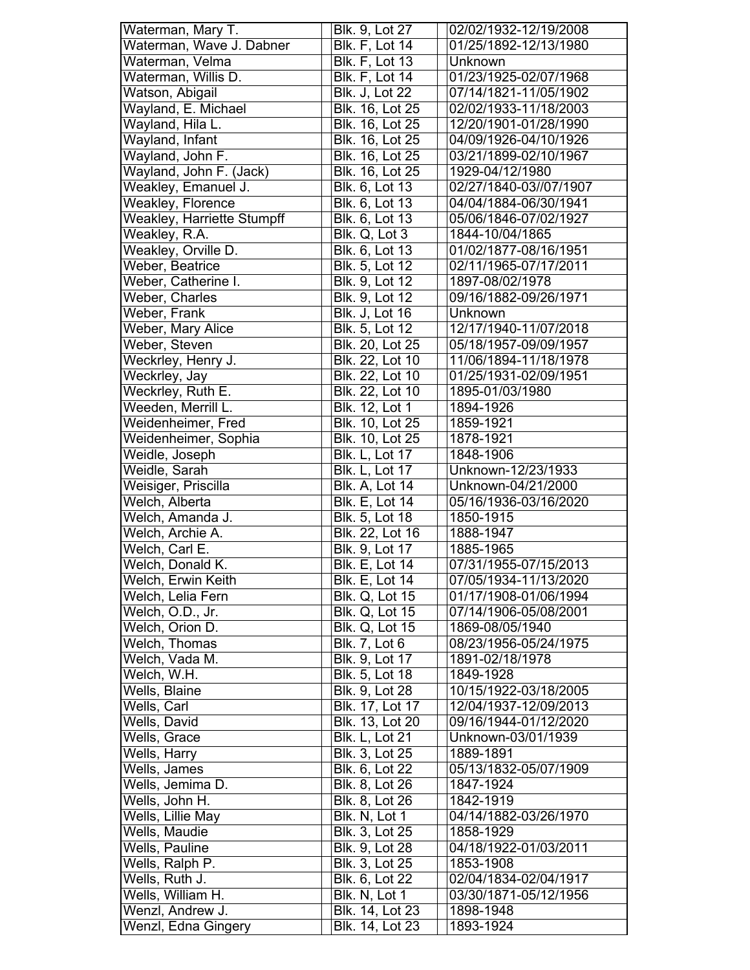| Waterman, Mary T.          | Blk. 9, Lot 27                     | 02/02/1932-12/19/2008              |
|----------------------------|------------------------------------|------------------------------------|
| Waterman, Wave J. Dabner   | Blk. F, Lot 14                     | 01/25/1892-12/13/1980              |
| Waterman, Velma            | <b>Blk. F, Lot 13</b>              | Unknown                            |
| Waterman, Willis D.        | <b>Blk. F, Lot 14</b>              | 01/23/1925-02/07/1968              |
| Watson, Abigail            | <b>Blk. J, Lot 22</b>              | 07/14/1821-11/05/1902              |
| Wayland, E. Michael        | Blk. 16, Lot 25                    | 02/02/1933-11/18/2003              |
| Wayland, Hila L.           | Blk. 16, Lot 25                    | 12/20/1901-01/28/1990              |
| Wayland, Infant            | Blk. 16, Lot 25                    | 04/09/1926-04/10/1926              |
| Wayland, John F.           | Blk. 16, Lot 25                    | 03/21/1899-02/10/1967              |
| Wayland, John F. (Jack)    | Blk. 16, Lot 25                    | 1929-04/12/1980                    |
| Weakley, Emanuel J.        | Blk. 6, Lot 13                     | 02/27/1840-03//07/1907             |
| Weakley, Florence          | Blk. 6, Lot 13                     | 04/04/1884-06/30/1941              |
| Weakley, Harriette Stumpff | Blk. 6, Lot 13                     | 05/06/1846-07/02/1927              |
| Weakley, R.A.              | Blk. Q, Lot 3                      | 1844-10/04/1865                    |
| Weakley, Orville D.        | Blk. 6, Lot 13                     | 01/02/1877-08/16/1951              |
| Weber, Beatrice            | Blk. 5, Lot 12                     | 02/11/1965-07/17/2011              |
| Weber, Catherine I.        | Blk. 9, Lot 12                     | 1897-08/02/1978                    |
| Weber, Charles             | <b>Blk. 9, Lot 12</b>              | 09/16/1882-09/26/1971              |
| Weber, Frank               | <b>Blk. J, Lot 16</b>              | Unknown                            |
| Weber, Mary Alice          | Blk. 5, Lot 12                     | 12/17/1940-11/07/2018              |
| Weber, Steven              | Blk. 20, Lot 25                    | 05/18/1957-09/09/1957              |
| Weckrley, Henry J.         | Blk. 22, Lot 10                    | 11/06/1894-11/18/1978              |
| Weckrley, Jay              | Blk. 22, Lot 10                    | 01/25/1931-02/09/1951              |
| Weckrley, Ruth E.          | Blk. 22, Lot 10                    | 1895-01/03/1980                    |
| Weeden, Merrill L.         | <b>Blk. 12, Lot 1</b>              | 1894-1926                          |
| Weidenheimer, Fred         | Blk. 10, Lot 25                    | 1859-1921                          |
| Weidenheimer, Sophia       | <b>Blk. 10, Lot 25</b>             | 1878-1921                          |
| Weidle, Joseph             | <b>Blk. L, Lot 17</b>              | 1848-1906                          |
| Weidle, Sarah              | <b>Blk. L, Lot 17</b>              | Unknown-12/23/1933                 |
| Weisiger, Priscilla        | <b>Blk. A, Lot 14</b>              | Unknown-04/21/2000                 |
| Welch, Alberta             | <b>Blk. E, Lot 14</b>              | 05/16/1936-03/16/2020              |
| Welch, Amanda J.           | Blk. 5, Lot 18                     | 1850-1915                          |
| Welch, Archie A.           | Blk. 22, Lot 16                    | 1888-1947                          |
| Welch, Carl E.             | Blk. 9, Lot 17                     | 1885-1965                          |
| Welch, Donald K.           | Blk. E. Lot 14                     | 07/31/1955-07/15/2013              |
| Welch, Erwin Keith         | <b>Blk. E, Lot 14</b>              | 07/05/1934-11/13/2020              |
| Welch, Lelia Fern          | <b>Blk. Q, Lot 15</b>              | 01/17/1908-01/06/1994              |
| Welch, O.D., Jr.           | <b>Blk. Q, Lot 15</b>              | 07/14/1906-05/08/2001              |
| Welch, Orion D.            | <b>Blk. Q, Lot 15</b>              | 1869-08/05/1940                    |
| Welch, Thomas              | <b>Blk. 7, Lot 6</b>               | 08/23/1956-05/24/1975              |
| Welch, Vada M.             | Blk. 9, Lot 17                     | 1891-02/18/1978                    |
| Welch, W.H.                | Blk. 5, Lot 18                     | 1849-1928                          |
| Wells, Blaine              | Blk. 9, Lot 28                     | 10/15/1922-03/18/2005              |
| Wells, Carl                | Blk. 17, Lot 17                    | 12/04/1937-12/09/2013              |
| Wells, David               | Blk. 13, Lot 20                    | 09/16/1944-01/12/2020              |
| Wells, Grace               | <b>Blk. L, Lot 21</b>              | Unknown-03/01/1939                 |
| Wells, Harry               | Blk. 3, Lot 25                     | 1889-1891                          |
| Wells, James               | Blk. 6, Lot 22                     | 05/13/1832-05/07/1909              |
| Wells, Jemima D.           | Blk. 8, Lot 26                     | 1847-1924                          |
| Wells, John H.             | Blk. 8, Lot 26                     | 1842-1919                          |
| Wells, Lillie May          | Blk. N, Lot 1                      | 04/14/1882-03/26/1970              |
| Wells, Maudie              | <b>Blk. 3, Lot 25</b>              | 1858-1929                          |
| Wells, Pauline             |                                    |                                    |
| Wells, Ralph P.            | Blk. 9, Lot 28<br>Blk. 3, Lot 25   | 04/18/1922-01/03/2011<br>1853-1908 |
|                            |                                    |                                    |
| Wells, Ruth J.             | Blk. 6, Lot 22                     | 02/04/1834-02/04/1917              |
| Wells, William H.          | Blk. N, Lot 1                      | 03/30/1871-05/12/1956              |
| Wenzl, Andrew J.           | Blk. 14, Lot 23<br>Blk. 14, Lot 23 | 1898-1948<br>1893-1924             |
| Wenzl, Edna Gingery        |                                    |                                    |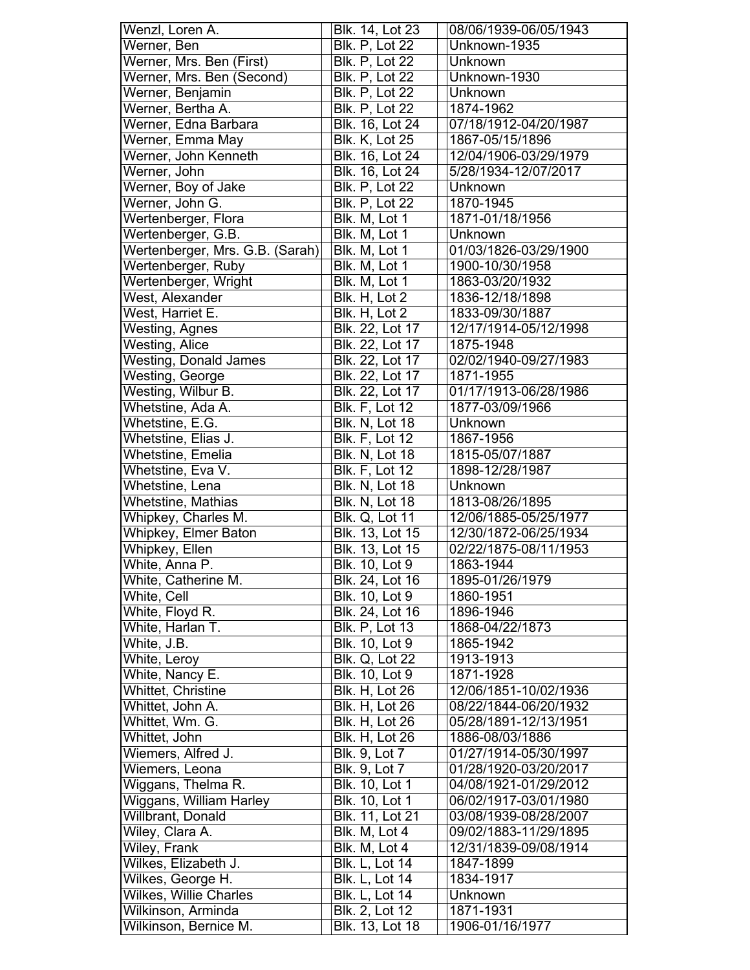| Wenzl, Loren A.                             | Blk. 14, Lot 23                       | 08/06/1939-06/05/1943        |
|---------------------------------------------|---------------------------------------|------------------------------|
| Werner, Ben                                 | <b>Blk. P. Lot 22</b>                 | Unknown-1935                 |
| Werner, Mrs. Ben (First)                    | <b>Blk. P, Lot 22</b>                 | Unknown                      |
| Werner, Mrs. Ben (Second)                   | <b>Blk. P, Lot 22</b>                 | Unknown-1930                 |
| Werner, Benjamin                            | $\overline{\mathsf{Blk}}$ . P, Lot 22 | Unknown                      |
| Werner, Bertha A.                           | <b>Blk. P. Lot 22</b>                 | 1874-1962                    |
| Werner, Edna Barbara                        | Blk. 16, Lot 24                       | 07/18/1912-04/20/1987        |
| Werner, Emma May                            | <b>Blk. K, Lot 25</b>                 | 1867-05/15/1896              |
| Werner, John Kenneth                        | Blk. 16, Lot 24                       | 12/04/1906-03/29/1979        |
| Werner, John                                | Blk. 16, Lot 24                       | 5/28/1934-12/07/2017         |
| Werner, Boy of Jake                         | <b>Blk. P, Lot 22</b>                 | Unknown                      |
| Werner, John G.                             | <b>Blk. P, Lot 22</b>                 | 1870-1945                    |
| Wertenberger, Flora                         | Blk. M, Lot 1                         | 1871-01/18/1956              |
| Wertenberger, G.B.                          | Blk. M, Lot 1                         | Unknown                      |
| Wertenberger, Mrs. G.B. (Sarah)             | Blk. M, Lot 1                         | 01/03/1826-03/29/1900        |
| Wertenberger, Ruby                          | Blk. M, Lot 1                         | 1900-10/30/1958              |
| Wertenberger, Wright                        | Blk. M, Lot 1                         | 1863-03/20/1932              |
| West, Alexander                             | Blk. H, Lot 2                         | 1836-12/18/1898              |
| West, Harriet E.                            | Blk. H, Lot 2                         | 1833-09/30/1887              |
| Westing, Agnes                              | Blk. 22, Lot 17                       | 12/17/1914-05/12/1998        |
|                                             |                                       | 1875-1948                    |
| <b>Westing, Alice</b>                       | Blk. 22, Lot 17                       |                              |
| <b>Westing, Donald James</b>                | Blk. 22, Lot 17                       | 02/02/1940-09/27/1983        |
| Westing, George                             | Blk. 22, Lot 17                       | 1871-1955                    |
| Westing, Wilbur B.                          | Blk. 22, Lot 17                       | 01/17/1913-06/28/1986        |
| Whetstine, Ada A.                           | <b>Blk. F, Lot 12</b>                 | 1877-03/09/1966              |
| Whetstine, E.G.                             | <b>Blk. N, Lot 18</b>                 | Unknown                      |
| Whetstine, Elias J.                         | <b>Blk. F, Lot 12</b>                 | 1867-1956                    |
| Whetstine, Emelia                           | <b>Blk. N, Lot 18</b>                 | 1815-05/07/1887              |
| Whetstine, Eva V.                           | <b>Blk. F, Lot 12</b>                 | 1898-12/28/1987              |
|                                             |                                       |                              |
| Whetstine, Lena                             | <b>Blk. N, Lot 18</b>                 | Unknown                      |
| <b>Whetstine, Mathias</b>                   | Blk. N, Lot 18                        | 1813-08/26/1895              |
| Whipkey, Charles M.                         | Blk. Q, Lot 11                        | 12/06/1885-05/25/1977        |
| <b>Whipkey, Elmer Baton</b>                 | Blk. 13, Lot 15                       | 12/30/1872-06/25/1934        |
| <b>Whipkey, Ellen</b>                       | Blk. 13, Lot 15                       | 02/22/1875-08/11/1953        |
| White, Anna P.                              | <b>Blk. 10. Lot 9</b>                 | 1863-1944                    |
| White, Catherine M.                         | Blk. 24, Lot 16                       | 1895-01/26/1979              |
| White, Cell                                 | <b>Blk. 10, Lot 9</b>                 | 1860-1951                    |
| White, Floyd R.                             | Blk. 24, Lot 16                       | 1896-1946                    |
| White, Harlan $\overline{T}$ .              | <b>Blk. P, Lot 13</b>                 | 1868-04/22/1873              |
| White, J.B.                                 | Blk. 10, Lot 9                        | 1865-1942                    |
| White, Leroy                                | <b>Blk. Q, Lot 22</b>                 | 1913-1913                    |
| White, Nancy E.                             | Blk. 10, Lot 9                        | 1871-1928                    |
| Whittet, Christine                          | <b>Blk. H, Lot 26</b>                 | 12/06/1851-10/02/1936        |
| Whittet, John A.                            | Blk. H, Lot 26                        | 08/22/1844-06/20/1932        |
|                                             |                                       | 05/28/1891-12/13/1951        |
| Whittet, Wm. G.                             | Blk. H, Lot 26                        |                              |
| Whittet, John                               | <b>Blk. H, Lot 26</b>                 | 1886-08/03/1886              |
| Wiemers, Alfred J.                          | Blk. 9, Lot 7                         | 01/27/1914-05/30/1997        |
| Wiemers, Leona                              | Blk. 9, Lot 7                         | 01/28/1920-03/20/2017        |
| Wiggans, Thelma R.                          | Blk. 10, Lot 1                        | 04/08/1921-01/29/2012        |
| Wiggans, William Harley                     | <b>Blk.</b> 10, Lot 1                 | 06/02/1917-03/01/1980        |
| Willbrant, Donald                           | Blk. 11, Lot 21                       | 03/08/1939-08/28/2007        |
| Wiley, Clara A.                             | Blk. M, Lot 4                         | 09/02/1883-11/29/1895        |
| Wiley, Frank                                | Blk. M, Lot 4                         | 12/31/1839-09/08/1914        |
| Wilkes, Elizabeth J.                        | Blk. L, Lot 14                        | 1847-1899                    |
| Wilkes, George H.                           | <b>Blk. L, Lot 14</b>                 | 1834-1917                    |
| Wilkes, Willie Charles                      | Blk. L, Lot 14                        | Unknown                      |
| Wilkinson, Arminda<br>Wilkinson, Bernice M. | Blk. 2, Lot 12<br>Blk. 13, Lot 18     | 1871-1931<br>1906-01/16/1977 |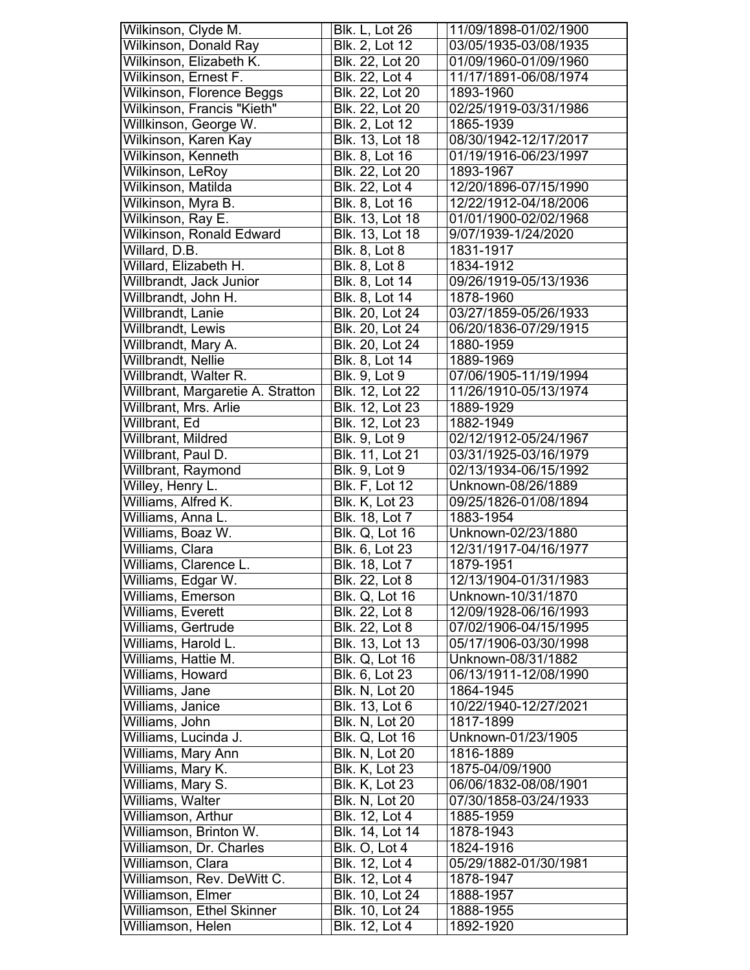| Wilkinson, Clyde M.               | <b>Blk. L, Lot 26</b> | 11/09/1898-01/02/1900 |
|-----------------------------------|-----------------------|-----------------------|
| <b>Wilkinson, Donald Ray</b>      | Blk. 2, Lot 12        | 03/05/1935-03/08/1935 |
| Wilkinson, Elizabeth K.           | Blk. 22, Lot 20       | 01/09/1960-01/09/1960 |
| Wilkinson, Ernest F.              | <b>Blk. 22, Lot 4</b> | 11/17/1891-06/08/1974 |
| Wilkinson, Florence Beggs         | Blk. 22, Lot 20       | 1893-1960             |
| Wilkinson, Francis "Kieth"        | Blk. 22, Lot 20       | 02/25/1919-03/31/1986 |
| Willkinson, George W.             | Blk. 2, Lot 12        | 1865-1939             |
| Wilkinson, Karen Kay              | Blk. 13, Lot 18       | 08/30/1942-12/17/2017 |
| Wilkinson, Kenneth                | Blk. 8, Lot 16        | 01/19/1916-06/23/1997 |
| Wilkinson, LeRoy                  | Blk. 22, Lot 20       | 1893-1967             |
| Wilkinson, Matilda                | Blk. 22, Lot 4        | 12/20/1896-07/15/1990 |
| Wilkinson, Myra B.                | Blk. 8, Lot 16        | 12/22/1912-04/18/2006 |
| Wilkinson, Ray E.                 | Blk. 13, Lot 18       | 01/01/1900-02/02/1968 |
| Wilkinson, Ronald Edward          | Blk. 13, Lot 18       | 9/07/1939-1/24/2020   |
| Willard, D.B.                     | Blk. 8, Lot 8         | 1831-1917             |
| Willard, Elizabeth H.             | Blk. 8, Lot 8         | 1834-1912             |
| Willbrandt, Jack Junior           | <b>Blk. 8, Lot 14</b> | 09/26/1919-05/13/1936 |
| Willbrandt, John H.               | <b>Blk. 8, Lot 14</b> | 1878-1960             |
| Willbrandt, Lanie                 | Blk. 20, Lot 24       | 03/27/1859-05/26/1933 |
| Willbrandt, Lewis                 | Blk. 20, Lot 24       | 06/20/1836-07/29/1915 |
| Willbrandt, Mary A.               | Blk. 20, Lot 24       | 1880-1959             |
| Willbrandt, Nellie                | Blk. 8, Lot 14        | 1889-1969             |
| Willbrandt, Walter R.             | <b>Blk. 9, Lot 9</b>  | 07/06/1905-11/19/1994 |
| Willbrant, Margaretie A. Stratton | Blk. 12, Lot 22       | 11/26/1910-05/13/1974 |
| Willbrant, Mrs. Arlie             | Blk. 12, Lot 23       | 1889-1929             |
| Willbrant, Ed                     | Blk. 12, Lot 23       | 1882-1949             |
| Willbrant, Mildred                | <b>Blk. 9, Lot 9</b>  | 02/12/1912-05/24/1967 |
| Willbrant, Paul D.                | Blk. 11, Lot 21       | 03/31/1925-03/16/1979 |
| Willbrant, Raymond                | <b>Blk. 9, Lot 9</b>  | 02/13/1934-06/15/1992 |
| Willey, Henry L.                  | <b>Blk. F, Lot 12</b> | Unknown-08/26/1889    |
| Williams, Alfred K.               | <b>Blk. K, Lot 23</b> | 09/25/1826-01/08/1894 |
| Williams, Anna L.                 | <b>Blk. 18, Lot 7</b> | 1883-1954             |
| Williams, Boaz W.                 | <b>Blk. Q, Lot 16</b> | Unknown-02/23/1880    |
| Williams, Clara                   | Blk. 6, Lot 23        | 12/31/1917-04/16/1977 |
| Williams, Clarence L.             | Blk. 18, Lot 7        | 1879-1951             |
| Williams, Edgar W.                | Blk. 22, Lot 8        | 12/13/1904-01/31/1983 |
| Williams, Emerson                 | <b>Blk. Q, Lot 16</b> | Unknown-10/31/1870    |
| Williams, Everett                 | Blk. 22, Lot 8        | 12/09/1928-06/16/1993 |
| Williams, Gertrude                | Blk. 22, Lot 8        | 07/02/1906-04/15/1995 |
| Williams, Harold L.               | Blk. 13, Lot 13       | 05/17/1906-03/30/1998 |
| Williams, Hattie M.               | <b>Blk. Q, Lot 16</b> | Unknown-08/31/1882    |
| Williams, Howard                  | Blk. 6, Lot 23        | 06/13/1911-12/08/1990 |
| Williams, Jane                    | <b>Blk. N, Lot 20</b> | 1864-1945             |
| Williams, Janice                  | Blk. 13, Lot 6        | 10/22/1940-12/27/2021 |
| Williams, John                    | <b>Blk. N, Lot 20</b> | 1817-1899             |
| Williams, Lucinda J.              | Blk. Q, Lot 16        | Unknown-01/23/1905    |
| Williams, Mary Ann                | Blk. N, Lot 20        | 1816-1889             |
| Williams, Mary K.                 | <b>Blk. K, Lot 23</b> | 1875-04/09/1900       |
| Williams, Mary S.                 | <b>Blk. K, Lot 23</b> | 06/06/1832-08/08/1901 |
| Williams, Walter                  | <b>Blk. N, Lot 20</b> | 07/30/1858-03/24/1933 |
| Williamson, Arthur                | Blk. 12, Lot 4        | 1885-1959             |
| Williamson, Brinton W.            | Blk. 14, Lot 14       | 1878-1943             |
| Williamson, Dr. Charles           | Blk. O, Lot 4         | 1824-1916             |
| Williamson, Clara                 | Blk. 12, Lot 4        | 05/29/1882-01/30/1981 |
| Williamson, Rev. DeWitt C.        | Blk. 12, Lot 4        | 1878-1947             |
| Williamson, Elmer                 | Blk. 10, Lot 24       | 1888-1957             |
| Williamson, Ethel Skinner         | Blk. 10, Lot 24       | 1888-1955             |
| Williamson, Helen                 | Blk. 12, Lot 4        | 1892-1920             |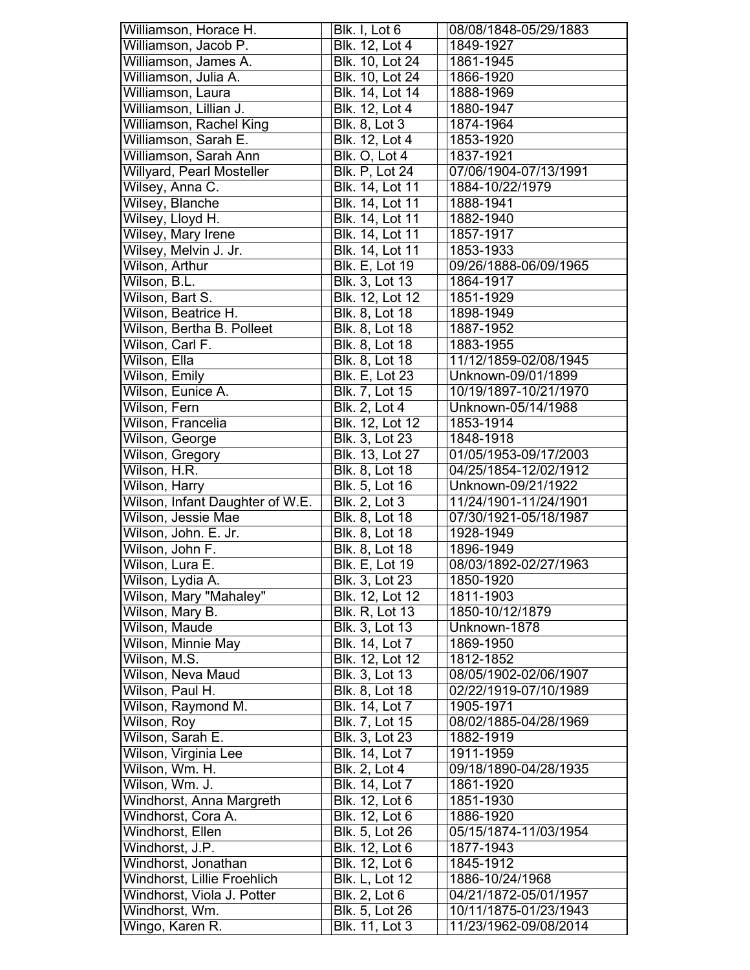| Williamson, Horace H.             | Blk. I, Lot 6                    | 08/08/1848-05/29/1883                          |
|-----------------------------------|----------------------------------|------------------------------------------------|
| Williamson, Jacob P.              | Blk. 12, Lot 4                   | 1849-1927                                      |
| Williamson, James A.              | Blk. 10, Lot 24                  | 1861-1945                                      |
| Williamson, Julia A.              | Blk. 10, Lot 24                  | 1866-1920                                      |
| Williamson, Laura                 | Blk. 14, Lot 14                  | 1888-1969                                      |
| Williamson, Lillian J.            | Blk. 12, Lot 4                   | 1880-1947                                      |
| Williamson, Rachel King           | <b>Blk. 8, Lot 3</b>             | 1874-1964                                      |
| Williamson, Sarah E.              | Blk. 12, Lot 4                   | 1853-1920                                      |
| Williamson, Sarah Ann             | Blk. O, Lot 4                    | 1837-1921                                      |
| Willyard, Pearl Mosteller         | <b>Blk. P. Lot 24</b>            | 07/06/1904-07/13/1991                          |
| Wilsey, Anna C.                   | Blk. 14, Lot 11                  | 1884-10/22/1979                                |
| Wilsey, Blanche                   | <b>Blk. 14, Lot 11</b>           | 1888-1941                                      |
| Wilsey, Lloyd H.                  | Blk. 14, Lot 11                  | 1882-1940                                      |
| Wilsey, Mary Irene                | Blk. 14, Lot 11                  | 1857-1917                                      |
| Wilsey, Melvin J. Jr.             | Blk. 14, Lot 11                  | 1853-1933                                      |
| Wilson, Arthur                    | <b>Blk. E, Lot 19</b>            | 09/26/1888-06/09/1965                          |
| Wilson, B.L.                      | Blk. 3, Lot 13                   | 1864-1917                                      |
| Wilson, Bart S.                   | Blk. 12, Lot 12                  | 1851-1929                                      |
| Wilson, Beatrice H.               | Blk. 8, Lot 18                   | 1898-1949                                      |
| Wilson, Bertha B. Polleet         | <b>Blk. 8, Lot 18</b>            | 1887-1952                                      |
|                                   | Blk. 8, Lot 18                   | 1883-1955                                      |
| Wilson, Carl F.                   |                                  |                                                |
| Wilson, Ella                      | Blk. 8, Lot 18                   | 11/12/1859-02/08/1945                          |
| Wilson, Emily                     | <b>Blk. E, Lot 23</b>            | Unknown-09/01/1899                             |
| Wilson, Eunice A.                 | Blk. 7, Lot 15                   | 10/19/1897-10/21/1970                          |
| Wilson, Fern                      | <b>Blk. 2, Lot 4</b>             | Unknown-05/14/1988                             |
| Wilson, Francelia                 | Blk. 12, Lot 12                  | 1853-1914                                      |
| Wilson, George                    | Blk. 3, Lot 23                   | 1848-1918                                      |
| Wilson, Gregory                   | Blk. 13, Lot 27                  | 01/05/1953-09/17/2003                          |
| Wilson, H.R.                      | Blk. 8, Lot 18                   | 04/25/1854-12/02/1912                          |
|                                   |                                  |                                                |
| Wilson, Harry                     | Blk. 5, Lot 16                   | Unknown-09/21/1922                             |
| Wilson, Infant Daughter of W.E.   | Blk. 2, Lot 3                    | 11/24/1901-11/24/1901                          |
| Wilson, Jessie Mae                | Blk. 8, Lot 18                   | 07/30/1921-05/18/1987                          |
| Wilson, John. E. Jr.              | <b>Blk. 8, Lot 18</b>            | 1928-1949                                      |
| Wilson, John F.                   | Blk. 8, Lot 18                   | 1896-1949                                      |
| Wilson, Lura E.                   | <b>Blk. E, Lot 19</b>            | 08/03/1892-02/27/1963                          |
| Wilson, Lydia A.                  | Blk. 3, Lot 23                   | 1850-1920                                      |
| Wilson, Mary "Mahaley"            | Blk. 12, Lot 12                  | 1811-1903                                      |
| Wilson, Mary B.                   | <b>Blk. R, Lot 13</b>            | 1850-10/12/1879                                |
| Wilson, Maude                     | <b>Blk. 3, Lot 13</b>            | Unknown-1878                                   |
| Wilson, Minnie May                | Blk. 14, Lot 7                   | 1869-1950                                      |
| Wilson, M.S.                      | Blk. 12, Lot 12                  | 1812-1852                                      |
| Wilson, Neva Maud                 | Blk. 3, Lot 13                   | 08/05/1902-02/06/1907                          |
|                                   | Blk. 8, Lot 18                   |                                                |
| Wilson, Paul H.                   |                                  | 02/22/1919-07/10/1989                          |
| Wilson, Raymond M.                | Blk. 14, Lot 7                   | 1905-1971                                      |
| Wilson, Roy                       | Blk. 7, Lot 15                   | 08/02/1885-04/28/1969                          |
| Wilson, Sarah E.                  | Blk. 3, Lot 23                   | 1882-1919                                      |
| Wilson, Virginia Lee              | Blk. 14, Lot 7                   | 1911-1959                                      |
| Wilson, Wm. H.                    | Blk. 2, Lot 4                    | 09/18/1890-04/28/1935                          |
| Wilson, Wm. J.                    | Blk. 14, Lot 7                   | 1861-1920                                      |
| Windhorst, Anna Margreth          | Blk. 12, Lot 6                   | 1851-1930                                      |
| Windhorst, Cora A.                | Blk. 12, Lot 6                   | 1886-1920                                      |
| Windhorst, Ellen                  | Blk. 5, Lot 26                   | 05/15/1874-11/03/1954                          |
| Windhorst, J.P.                   | Blk. 12, Lot 6                   | 1877-1943                                      |
| Windhorst, Jonathan               | <b>Blk. 12, Lot 6</b>            | 1845-1912                                      |
| Windhorst, Lillie Froehlich       | <b>Blk. L, Lot 12</b>            | 1886-10/24/1968                                |
| Windhorst, Viola J. Potter        | Blk. 2, Lot 6                    | 04/21/1872-05/01/1957                          |
| Windhorst, Wm.<br>Wingo, Karen R. | Blk. 5, Lot 26<br>Blk. 11, Lot 3 | 10/11/1875-01/23/1943<br>11/23/1962-09/08/2014 |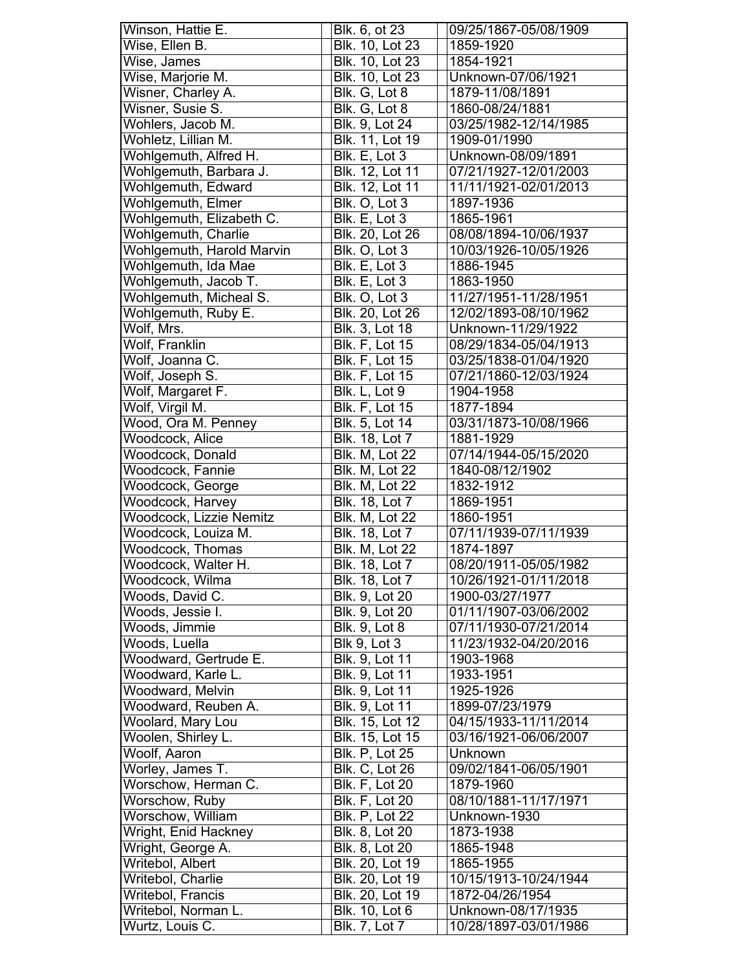| Winson, Hattie E.         | Blk. 6, ot 23          | 09/25/1867-05/08/1909 |
|---------------------------|------------------------|-----------------------|
| Wise, Ellen B.            | <b>Blk. 10, Lot 23</b> | 1859-1920             |
| Wise, James               | Blk. 10, Lot 23        | 1854-1921             |
| Wise, Marjorie M.         | Blk. 10, Lot 23        | Unknown-07/06/1921    |
| Wisner, Charley A.        | Blk. G, Lot 8          | 1879-11/08/1891       |
| Wisner, Susie S.          | Blk. G, Lot 8          | 1860-08/24/1881       |
| Wohlers, Jacob M.         | Blk. 9, Lot 24         | 03/25/1982-12/14/1985 |
| Wohletz, Lillian M.       | Blk. 11, Lot 19        | 1909-01/1990          |
| Wohlgemuth, Alfred H.     | Blk. E, Lot 3          | Unknown-08/09/1891    |
| Wohlgemuth, Barbara J.    | Blk. 12, Lot 11        | 07/21/1927-12/01/2003 |
| Wohlgemuth, Edward        | <b>Blk. 12, Lot 11</b> | 11/11/1921-02/01/2013 |
| Wohlgemuth, Elmer         | Blk. O, Lot 3          | 1897-1936             |
| Wohlgemuth, Elizabeth C.  | Blk. E, Lot 3          | 1865-1961             |
| Wohlgemuth, Charlie       | Blk. 20, Lot 26        | 08/08/1894-10/06/1937 |
| Wohlgemuth, Harold Marvin | Blk. O, Lot 3          | 10/03/1926-10/05/1926 |
| Wohlgemuth, Ida Mae       | Blk. E, Lot 3          | 1886-1945             |
| Wohlgemuth, Jacob T.      | Blk. E, Lot 3          | 1863-1950             |
| Wohlgemuth, Micheal S.    | Blk. O, Lot 3          | 11/27/1951-11/28/1951 |
| Wohlgemuth, Ruby E.       | Blk. 20, Lot 26        | 12/02/1893-08/10/1962 |
| Wolf, Mrs.                | Blk. 3, Lot 18         | Unknown-11/29/1922    |
| Wolf, Franklin            | <b>Blk. F, Lot 15</b>  | 08/29/1834-05/04/1913 |
| Wolf, Joanna C.           | <b>Blk. F, Lot 15</b>  | 03/25/1838-01/04/1920 |
| Wolf, Joseph S.           | <b>Blk. F, Lot 15</b>  | 07/21/1860-12/03/1924 |
| Wolf, Margaret F.         | Blk. L, Lot 9          | 1904-1958             |
| Wolf, Virgil M.           | <b>Blk. F, Lot 15</b>  | 1877-1894             |
| Wood, Ora M. Penney       | Blk. 5, Lot 14         | 03/31/1873-10/08/1966 |
| Woodcock, Alice           | Blk. 18, Lot 7         | 1881-1929             |
| Woodcock, Donald          | <b>Blk. M, Lot 22</b>  | 07/14/1944-05/15/2020 |
| Woodcock, Fannie          | Blk. M, Lot 22         | 1840-08/12/1902       |
| Woodcock, George          | Blk. M, Lot 22         | 1832-1912             |
| Woodcock, Harvey          | Blk. 18, Lot 7         | 1869-1951             |
| Woodcock, Lizzie Nemitz   | Blk. M, Lot 22         | 1860-1951             |
| Woodcock, Louiza M.       | Blk. 18, Lot 7         | 07/11/1939-07/11/1939 |
| <b>Woodcock, Thomas</b>   | Blk. M, Lot 22         | 1874-1897             |
| Woodcock, Walter H.       | <b>Blk. 18, Lot 7</b>  | 08/20/1911-05/05/1982 |
| Woodcock, Wilma           | Blk. 18, Lot 7         | 10/26/1921-01/11/2018 |
| Woods, David C.           | <b>Blk. 9, Lot 20</b>  | 1900-03/27/1977       |
| Woods, Jessie I.          | Blk. 9, Lot 20         | 01/11/1907-03/06/2002 |
| Woods, Jimmie             | <b>Blk. 9, Lot 8</b>   | 07/11/1930-07/21/2014 |
| Woods, Luella             | <b>Blk 9, Lot 3</b>    | 11/23/1932-04/20/2016 |
| Woodward, Gertrude E.     | Blk. 9, Lot 11         | 1903-1968             |
| Woodward, Karle L.        | Blk. 9, Lot 11         | 1933-1951             |
| Woodward, Melvin          | Blk. 9, Lot 11         | 1925-1926             |
| Woodward, Reuben A.       | Blk. 9, Lot 11         | 1899-07/23/1979       |
| Woolard, Mary Lou         | Blk. 15, Lot 12        | 04/15/1933-11/11/2014 |
| Woolen, Shirley L.        | Blk. 15, Lot 15        | 03/16/1921-06/06/2007 |
| Woolf, Aaron              | <b>Blk. P, Lot 25</b>  | Unknown               |
| Worley, James T.          | <b>Blk. C, Lot 26</b>  | 09/02/1841-06/05/1901 |
| Worschow, Herman C.       | <b>Blk. F, Lot 20</b>  | 1879-1960             |
| Worschow, Ruby            | <b>Blk. F, Lot 20</b>  | 08/10/1881-11/17/1971 |
| Worschow, William         | Blk. P, Lot 22         | Unknown-1930          |
| Wright, Enid Hackney      | Blk. 8, Lot 20         | 1873-1938             |
| Wright, George A.         | Blk. 8, Lot 20         | 1865-1948             |
| Writebol, Albert          | Blk. 20, Lot 19        | 1865-1955             |
| Writebol, Charlie         | Blk. 20, Lot 19        | 10/15/1913-10/24/1944 |
| Writebol, Francis         | Blk. 20, Lot 19        | 1872-04/26/1954       |
| Writebol, Norman L.       | Blk. 10, Lot 6         | Unknown-08/17/1935    |
| Wurtz, Louis C.           | <b>Blk. 7, Lot 7</b>   | 10/28/1897-03/01/1986 |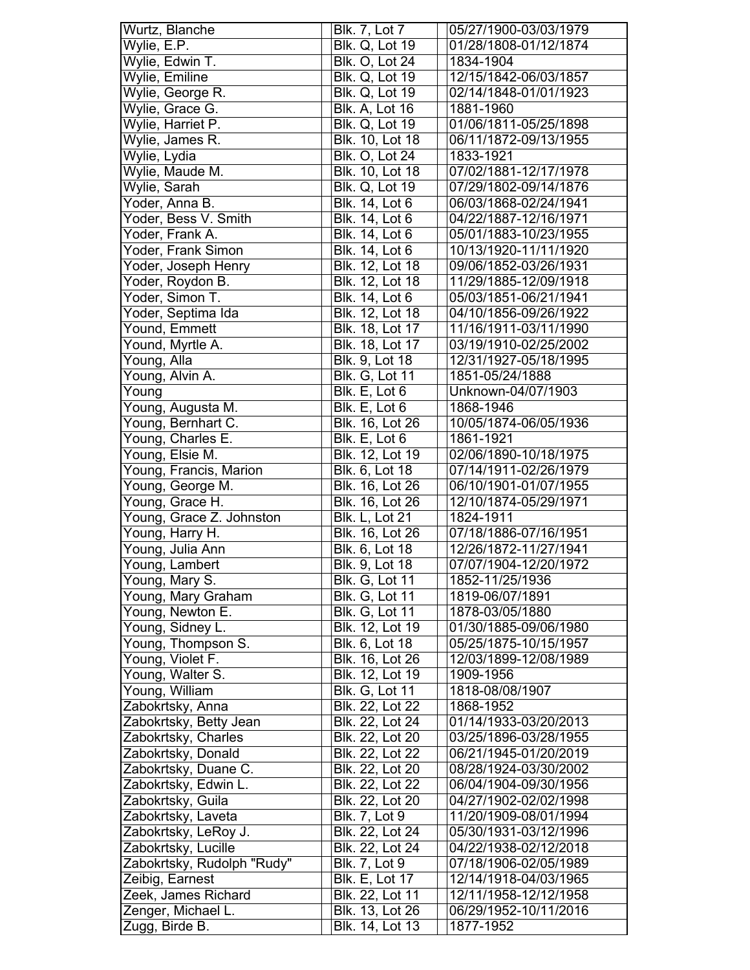| Wurtz, Blanche             | <b>Blk. 7, Lot 7</b>                      | 05/27/1900-03/03/1979 |
|----------------------------|-------------------------------------------|-----------------------|
| Wylie, E.P.                | <b>Blk. Q, Lot 19</b>                     | 01/28/1808-01/12/1874 |
| Wylie, Edwin T.            | <b>Blk. O, Lot 24</b>                     | 1834-1904             |
| Wylie, Emiline             | <b>Blk. Q, Lot 19</b>                     | 12/15/1842-06/03/1857 |
| Wylie, George R.           | <b>Blk. Q, Lot 19</b>                     | 02/14/1848-01/01/1923 |
| Wylie, Grace G.            | <b>Blk. A, Lot 16</b>                     | 1881-1960             |
| Wylie, Harriet P.          | <b>Blk. Q, Lot 19</b>                     | 01/06/1811-05/25/1898 |
| Wylie, James R.            | Blk. 10, Lot 18                           | 06/11/1872-09/13/1955 |
| Wylie, Lydia               | <b>Blk. O, Lot 24</b>                     | 1833-1921             |
| Wylie, Maude M.            | Blk. 10, Lot 18                           | 07/02/1881-12/17/1978 |
| Wylie, Sarah               | <b>Blk. Q, Lot 19</b>                     | 07/29/1802-09/14/1876 |
| Yoder, Anna B.             | Blk. 14, Lot 6                            | 06/03/1868-02/24/1941 |
| Yoder, Bess V. Smith       | Blk. 14, Lot 6                            | 04/22/1887-12/16/1971 |
| Yoder, Frank A.            | Blk. 14, Lot 6                            | 05/01/1883-10/23/1955 |
| Yoder, Frank Simon         | <b>Blk. 14, Lot 6</b>                     | 10/13/1920-11/11/1920 |
| Yoder, Joseph Henry        | <b>Blk. 12, Lot 18</b>                    | 09/06/1852-03/26/1931 |
| Yoder, Roydon B.           | Blk. 12, Lot 18                           | 11/29/1885-12/09/1918 |
| Yoder, Simon T.            | Blk. 14, Lot 6                            | 05/03/1851-06/21/1941 |
| Yoder, Septima Ida         | Blk. 12, Lot 18                           | 04/10/1856-09/26/1922 |
| Yound, Emmett              |                                           | 11/16/1911-03/11/1990 |
| Yound, Myrtle A.           | Blk. 18, Lot 17<br><b>Blk. 18, Lot 17</b> | 03/19/1910-02/25/2002 |
| Young, Alla                | Blk. 9, Lot 18                            | 12/31/1927-05/18/1995 |
| Young, Alvin A.            | <b>Blk. G, Lot 11</b>                     | 1851-05/24/1888       |
| Young                      |                                           | Unknown-04/07/1903    |
|                            | Blk. E, Lot 6                             |                       |
| Young, Augusta M.          | Blk. E, Lot 6                             | 1868-1946             |
| Young, Bernhart C.         | Blk. 16, Lot 26                           | 10/05/1874-06/05/1936 |
| Young, Charles E.          | Blk. E, Lot 6                             | 1861-1921             |
| Young, Elsie M.            | Blk. 12, Lot 19                           | 02/06/1890-10/18/1975 |
| Young, Francis, Marion     | Blk. 6, Lot 18                            | 07/14/1911-02/26/1979 |
| Young, George M.           | Blk. 16, Lot 26                           | 06/10/1901-01/07/1955 |
| Young, Grace H.            | Blk. 16, Lot 26                           | 12/10/1874-05/29/1971 |
| Young, Grace Z. Johnston   | Blk. L, Lot 21                            | 1824-1911             |
| Young, Harry H.            | <b>Blk. 16, Lot 26</b>                    | 07/18/1886-07/16/1951 |
| Young, Julia Ann           | Blk. 6, Lot 18                            | 12/26/1872-11/27/1941 |
| Young, Lambert             | <b>Blk.</b> 9, Lot 18                     | 07/07/1904-12/20/1972 |
| Young, Mary S.             | <b>Blk. G, Lot 11</b>                     | 1852-11/25/1936       |
| Young, Mary Graham         | <b>Blk. G, Lot 11</b>                     | 1819-06/07/1891       |
| Young, Newton E.           | <b>Blk. G, Lot 11</b>                     | 1878-03/05/1880       |
| Young, Sidney L.           | Blk. 12, Lot 19                           | 01/30/1885-09/06/1980 |
| Young, Thompson S.         | Blk. 6, Lot 18                            | 05/25/1875-10/15/1957 |
| Young, Violet F.           | Blk. 16, Lot 26                           | 12/03/1899-12/08/1989 |
| Young, Walter S.           | Blk. 12, Lot 19                           | 1909-1956             |
| Young, William             | <b>Blk. G, Lot 11</b>                     | 1818-08/08/1907       |
| Zabokrtsky, Anna           | Blk. 22, Lot 22                           | 1868-1952             |
| Zabokrtsky, Betty Jean     | Blk. 22, Lot 24                           | 01/14/1933-03/20/2013 |
| Zabokrtsky, Charles        | Blk. 22, Lot 20                           | 03/25/1896-03/28/1955 |
| Zabokrtsky, Donald         | Blk. 22, Lot 22                           | 06/21/1945-01/20/2019 |
| Zabokrtsky, Duane C.       | Blk. 22, Lot 20                           | 08/28/1924-03/30/2002 |
| Zabokrtsky, Edwin L.       | Blk. 22, Lot 22                           | 06/04/1904-09/30/1956 |
| Zabokrtsky, Guila          | Blk. 22, Lot 20                           | 04/27/1902-02/02/1998 |
| Zabokrtsky, Laveta         | <b>Blk. 7, Lot 9</b>                      | 11/20/1909-08/01/1994 |
| Zabokrtsky, LeRoy J.       | Blk. 22, Lot 24                           | 05/30/1931-03/12/1996 |
| Zabokrtsky, Lucille        | Blk. 22, Lot 24                           | 04/22/1938-02/12/2018 |
| Zabokrtsky, Rudolph "Rudy" | <b>Blk. 7, Lot 9</b>                      | 07/18/1906-02/05/1989 |
| Zeibig, Earnest            | <b>Blk. E, Lot 17</b>                     | 12/14/1918-04/03/1965 |
| Zeek, James Richard        | Blk. 22, Lot 11                           | 12/11/1958-12/12/1958 |
| Zenger, Michael L.         | Blk. 13, Lot 26                           | 06/29/1952-10/11/2016 |
| Zugg, Birde B.             | Blk. 14, Lot 13                           | 1877-1952             |